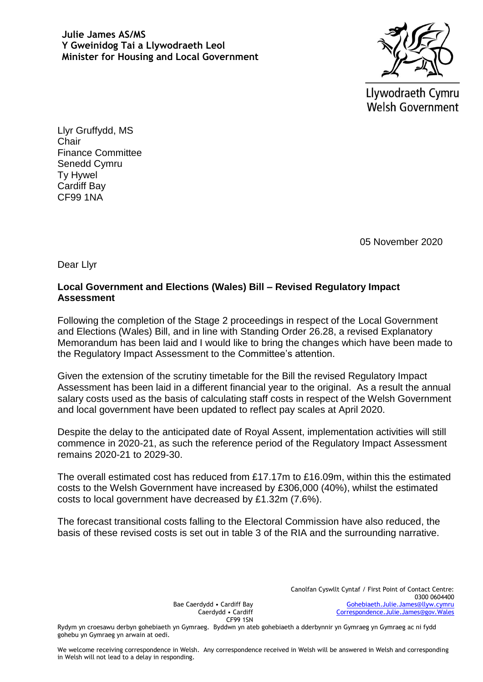**Julie James AS/MS Y Gweinidog Tai a Llywodraeth Leol Minister for Housing and Local Government** 



Llywodraeth Cymru **Welsh Government** 

Llyr Gruffydd, MS **Chair** Finance Committee Senedd Cymru Ty Hywel Cardiff Bay CF99 1NA

05 November 2020

Dear Llyr

## **Local Government and Elections (Wales) Bill – Revised Regulatory Impact Assessment**

Following the completion of the Stage 2 proceedings in respect of the Local Government and Elections (Wales) Bill, and in line with Standing Order 26.28, a revised Explanatory Memorandum has been laid and I would like to bring the changes which have been made to the Regulatory Impact Assessment to the Committee's attention.

Given the extension of the scrutiny timetable for the Bill the revised Regulatory Impact Assessment has been laid in a different financial year to the original. As a result the annual salary costs used as the basis of calculating staff costs in respect of the Welsh Government and local government have been updated to reflect pay scales at April 2020.

Despite the delay to the anticipated date of Royal Assent, implementation activities will still commence in 2020-21, as such the reference period of the Regulatory Impact Assessment remains 2020-21 to 2029-30.

The overall estimated cost has reduced from £17.17m to £16.09m, within this the estimated costs to the Welsh Government have increased by £306,000 (40%), whilst the estimated costs to local government have decreased by £1.32m (7.6%).

The forecast transitional costs falling to the Electoral Commission have also reduced, the basis of these revised costs is set out in table 3 of the RIA and the surrounding narrative.

Bae Caerdydd • Cardiff Bay Caerdydd • Cardiff CF99 1SN

Rydym yn croesawu derbyn gohebiaeth yn Gymraeg. Byddwn yn ateb gohebiaeth a dderbynnir yn Gymraeg yn Gymraeg ac ni fydd gohebu yn Gymraeg yn arwain at oedi.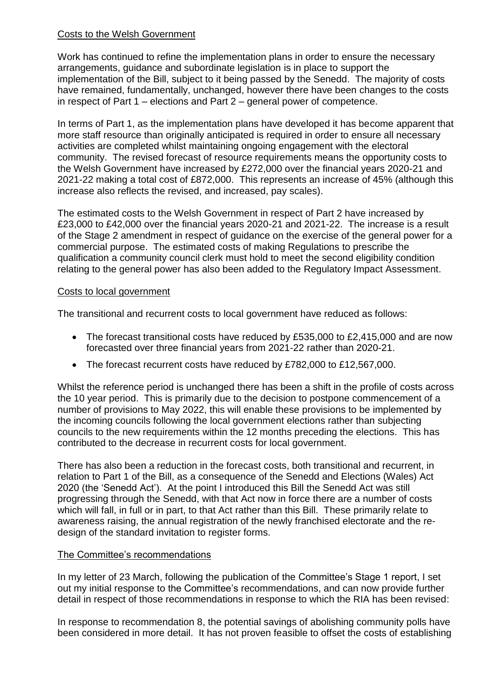## Costs to the Welsh Government

Work has continued to refine the implementation plans in order to ensure the necessary arrangements, guidance and subordinate legislation is in place to support the implementation of the Bill, subject to it being passed by the Senedd. The majority of costs have remained, fundamentally, unchanged, however there have been changes to the costs in respect of Part 1 – elections and Part 2 – general power of competence.

In terms of Part 1, as the implementation plans have developed it has become apparent that more staff resource than originally anticipated is required in order to ensure all necessary activities are completed whilst maintaining ongoing engagement with the electoral community. The revised forecast of resource requirements means the opportunity costs to the Welsh Government have increased by £272,000 over the financial years 2020-21 and 2021-22 making a total cost of £872,000. This represents an increase of 45% (although this increase also reflects the revised, and increased, pay scales).

The estimated costs to the Welsh Government in respect of Part 2 have increased by £23,000 to £42,000 over the financial years 2020-21 and 2021-22. The increase is a result of the Stage 2 amendment in respect of guidance on the exercise of the general power for a commercial purpose. The estimated costs of making Regulations to prescribe the qualification a community council clerk must hold to meet the second eligibility condition relating to the general power has also been added to the Regulatory Impact Assessment.

## Costs to local government

The transitional and recurrent costs to local government have reduced as follows:

- The forecast transitional costs have reduced by £535,000 to £2,415,000 and are now forecasted over three financial years from 2021-22 rather than 2020-21.
- The forecast recurrent costs have reduced by £782,000 to £12,567,000.

Whilst the reference period is unchanged there has been a shift in the profile of costs across the 10 year period. This is primarily due to the decision to postpone commencement of a number of provisions to May 2022, this will enable these provisions to be implemented by the incoming councils following the local government elections rather than subjecting councils to the new requirements within the 12 months preceding the elections. This has contributed to the decrease in recurrent costs for local government.

There has also been a reduction in the forecast costs, both transitional and recurrent, in relation to Part 1 of the Bill, as a consequence of the Senedd and Elections (Wales) Act 2020 (the 'Senedd Act'). At the point I introduced this Bill the Senedd Act was still progressing through the Senedd, with that Act now in force there are a number of costs which will fall, in full or in part, to that Act rather than this Bill. These primarily relate to awareness raising, the annual registration of the newly franchised electorate and the redesign of the standard invitation to register forms.

## The Committee's recommendations

In my letter of 23 March, following the publication of the Committee's Stage 1 report, I set out my initial response to the Committee's recommendations, and can now provide further detail in respect of those recommendations in response to which the RIA has been revised:

In response to recommendation 8, the potential savings of abolishing community polls have been considered in more detail. It has not proven feasible to offset the costs of establishing